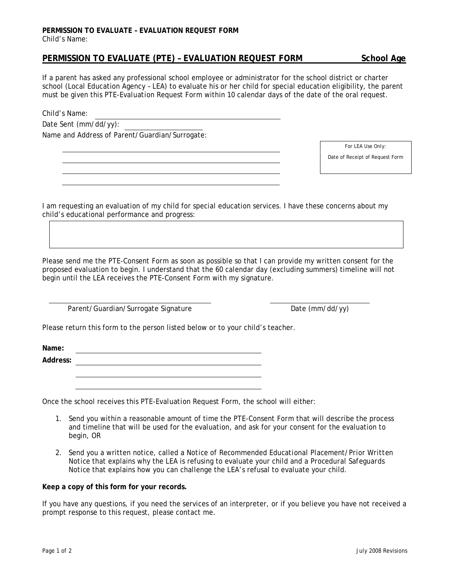## **PERMISSION TO EVALUATE – EVALUATION REQUEST FORM**  Child's Name:

## **PERMISSION TO EVALUATE (PTE) – EVALUATION REQUEST FORM School Age**

If a parent has asked any professional school employee or administrator for the school district or charter school (Local Education Agency – LEA) to evaluate his or her child for special education eligibility, the parent must be given this *PTE-Evaluation Request Form* within 10 calendar days of the date of the oral request.

Child's Name:

Date Sent (mm/dd/yy): Name and Address of Parent/Guardian/Surrogate:

*For LEA Use Only:* 

Date of Receipt of Request Form

I am requesting an evaluation of my child for special education services. I have these concerns about my child's educational performance and progress:

Please send me the *PTE-Consent Form* as soon as possible so that I can provide my written consent for the proposed evaluation to begin. I understand that the 60 calendar day (excluding summers) timeline will not begin until the LEA receives the *PTE-Consent Form* with my signature.

Parent/Guardian/Surrogate Signature Date (mm/dd/yy)

Please return this form to the person listed below or to your child's teacher.

**Name:** 

**Address:** 

Once the school receives this *PTE-Evaluation Request Form*, the school will either:

- 1. Send you within a reasonable amount of time the *PTE-Consent Form* that will describe the process and timeline that will be used for the evaluation, and ask for your consent for the evaluation to begin, OR
- 2. Send you a written notice, called a *Notice of Recommended Educational Placement/Prior Written Notice* that explains why the LEA is refusing to evaluate your child and a *Procedural Safeguards Notice* that explains how you can challenge the LEA's refusal to evaluate your child.

**Keep a copy of this form for your records.** 

If you have any questions, if you need the services of an interpreter, or if you believe you have not received a prompt response to this request, please contact me.